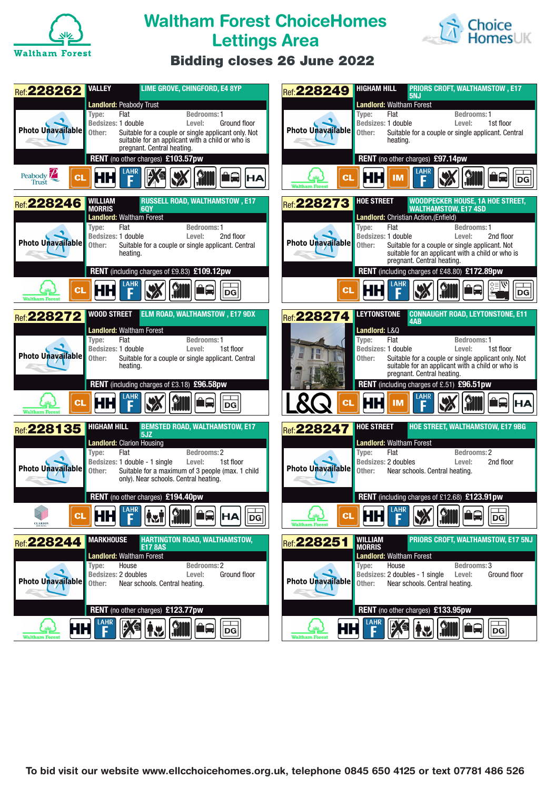

## **Waltham Forest ChoiceHomes Lettings Area**



## **Bidding closes 26 June 2022**

| <b>VALLEY</b><br>LIME GROVE, CHINGFORD, E4 8YP<br><b>Ref: 228262</b>                                                                                                                                                                                                                                                                                                                                                                          | <b>HIGHAM HILL</b><br><b>PRIORS CROFT, WALTHAMSTOW, E17</b><br>Ref: 228249<br>5NJ                                                                                                                                                                                                                                                                                                                                                                   |
|-----------------------------------------------------------------------------------------------------------------------------------------------------------------------------------------------------------------------------------------------------------------------------------------------------------------------------------------------------------------------------------------------------------------------------------------------|-----------------------------------------------------------------------------------------------------------------------------------------------------------------------------------------------------------------------------------------------------------------------------------------------------------------------------------------------------------------------------------------------------------------------------------------------------|
| <b>Landlord: Peabody Trust</b><br>Type:<br>Flat<br><b>Bedrooms: 1</b><br>Bedsizes: 1 double<br>Level:<br>Ground floor<br>Photo Unavailable<br>Suitable for a couple or single applicant only. Not<br>Other:<br>suitable for an applicant with a child or who is<br>pregnant. Central heating.<br>RENT (no other charges) £103.57pw<br>Peabody $\mathbb{Z}$<br>ìQ<br>НΗ<br>СL<br><b>HA</b><br>Trust                                            | <b>Landlord: Waltham Forest</b><br>Flat<br>Type:<br><b>Bedrooms: 1</b><br>Bedsizes: 1 double<br>1st floor<br>Level:<br>Photo Unavailable<br>Other:<br>Suitable for a couple or single applicant. Central<br>heating.<br>RENT (no other charges) £97.14pw<br>LAHR<br>ìQ<br>ΗН<br>СL<br>IM<br>DG<br><b>Waltham Forest</b>                                                                                                                             |
| <b>RUSSELL ROAD, WALTHAMSTOW, E17</b><br><b>WILLIAM</b><br><b>Ref: 228246</b><br><b>MORRIS</b><br><b>60Y</b><br><b>Landlord: Waltham Forest</b><br>Flat<br>Type:<br><b>Bedrooms: 1</b><br>Bedsizes: 1 double<br>Level:<br>2nd floor<br><b>Photo Unavailable</b><br>Other:<br>Suitable for a couple or single applicant. Central                                                                                                               | <b>WOODPECKER HOUSE, 1A HOE STREET,</b><br><b>HOE STREET</b><br>Ref: 228273<br><b>WALTHAMSTOW, E17 4SD</b><br>Landlord: Christian Action, (Enfield)<br>Flat<br>Type:<br><b>Bedrooms: 1</b><br>Bedsizes: 1 double<br>Level:<br>2nd floor<br>Photo Unavailable<br>Other:<br>Suitable for a couple or single applicant. Not                                                                                                                            |
| heating.<br>RENT (including charges of £9.83) £109.12pw<br>СI<br>HН<br>ll DG<br><b>Waltham Fores</b>                                                                                                                                                                                                                                                                                                                                          | suitable for an applicant with a child or who is<br>pregnant. Central heating.<br>RENT (including charges of £48.80) £172.89pw<br>нн<br> DG                                                                                                                                                                                                                                                                                                         |
| <b>ELM ROAD, WALTHAMSTOW, E17 9DX</b><br><b>WOOD STREET</b><br><b>Ref: 228272</b><br><b>Landlord: Waltham Forest</b><br>Flat<br>Type:<br>Bedrooms: 1<br>Bedsizes: 1 double<br>1st floor<br>Level:<br><b>Photo Unavailable</b><br>Other:<br>Suitable for a couple or single applicant. Central<br>heating.<br>RENT (including charges of £3.18) £96.58pw                                                                                       | <b>LEYTONSTONE</b><br><b>CONNAUGHT ROAD, LEYTONSTONE, E11</b><br>Ref: 228274<br>4AB<br>Landlord: L&Q<br>Flat<br>Type:<br>Bedrooms: 1<br>Bedsizes: 1 double<br>Level:<br>1st floor<br>Other:<br>Suitable for a couple or single applicant only. Not<br>suitable for an applicant with a child or who is<br>pregnant. Central heating.<br>RENT (including charges of £.51) £96.51pw                                                                   |
| LAHR<br>$CI$<br>HН<br>DG<br><b>Waltham Forest</b>                                                                                                                                                                                                                                                                                                                                                                                             | <b>CL</b><br>HН<br>IΜ<br><b>HA</b>                                                                                                                                                                                                                                                                                                                                                                                                                  |
| <b>HIGHAM HILL</b><br><b>BEMSTED ROAD, WALTHAMSTOW, E17</b><br>Ref: 228135<br>5JZ<br><b>Landlord: Clarion Housing</b><br>Flat<br>Bedrooms: 2<br>Type:<br>1st floor<br>Bedsizes: 1 double - 1 single<br>Level:<br>Photo Unavailable<br>Other:<br>Suitable for a maximum of 3 people (max. 1 child<br>only). Near schools. Central heating.<br>RENT (no other charges) £194.40pw                                                                | HOE STREET, WALTHAMSTOW, E17 9BG<br><b>HOE STREET</b><br><b>Ref:228247</b><br><b>Landlord: Waltham Forest</b><br>Flat<br>Bedrooms: 2<br>Type:<br>Bedsizes: 2 doubles<br>Level:<br>2nd floor<br>Photo Unavailable<br>Other:<br>Near schools. Central heating.<br>RENT (including charges of £12.68) £123.91pw                                                                                                                                        |
| $\sqrt{14HR}$ $\sqrt{14HR}$ $\sqrt{14HR}$ $\sqrt{14HR}$ $\sqrt{14HR}$ $\sqrt{14HR}$ $\sqrt{14HR}$ $\sqrt{14HR}$ $\sqrt{14HR}$ $\sqrt{14HR}$ $\sqrt{14HR}$ $\sqrt{14HR}$ $\sqrt{14HR}$ $\sqrt{14HR}$ $\sqrt{14HR}$ $\sqrt{14HR}$ $\sqrt{14HR}$ $\sqrt{14HR}$ $\sqrt{14HR}$ $\sqrt{14HR}$ $\sqrt{14HR}$ $\sqrt{14HR}$<br>$\Box$<br> HA <br>мĦ<br>$ \mathbf{R} \mathbf{v}  $<br>∎⊫∥<br>$\vert\vert$ DG $\vert$<br><b>CLARION</b>                 | <b>THE LAHR MY GMM</b> Ad FI<br>мн<br>$\vert$ DG $\vert$<br>ر چې لا<br><b>Waltham Fores</b>                                                                                                                                                                                                                                                                                                                                                         |
| <b>MARKHOUSE</b><br><b>HARTINGTON ROAD, WALTHAMSTOW,</b><br>Ref: 228244<br><b>E17 8AS</b><br><b>Landlord: Waltham Forest</b><br><b>Bedrooms: 2</b><br>House<br>Type:<br>Bedsizes: 2 doubles<br>Level:<br>Ground floor<br><b>Photo Unavailable</b><br>Near schools. Central heating.<br>Other:<br>RENT (no other charges) £123.77pw<br><b>XE AU</b><br><b>SIII</b><br>HН<br><b>A</b><br>$\sqrt{ \mathsf{D}\mathsf{G} }$<br><b>Waltham Fore</b> | <b>PRIORS CROFT, WALTHAMSTOW, E17 5NJ</b><br>WILLIAM<br><b>Ref: 228251</b><br><b>MORRIS</b><br><b>Landlord: Waltham Forest</b><br>House<br>Bedrooms: 3<br>Type:<br>Bedsizes: 2 doubles - 1 single<br>Level:<br>Ground floor<br><b>Photo Unavailable</b><br>Other:<br>Near schools. Central heating.<br>RENT (no other charges) £133.95pw<br>DÉ.<br>$\int_{\mathbf{u}}$<br><b>A</b><br>HH I<br>$\sqrt{ \mathsf{D}\mathsf{G} }$<br><b>Waltham For</b> |